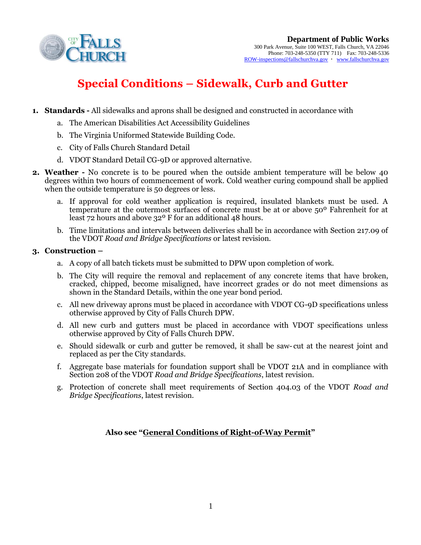

# **Special Conditions – Sidewalk, Curb and Gutter**

- **1. Standards -** All sidewalks and aprons shall be designed and constructed in accordance with
	- a. The American Disabilities Act Accessibility Guidelines
	- b. The Virginia Uniformed Statewide Building Code.
	- c. City of Falls Church Standard Detail
	- d. VDOT Standard Detail CG-9D or approved alternative.
- **2. Weather -** No concrete is to be poured when the outside ambient temperature will be below 40 degrees within two hours of commencement of work. Cold weather curing compound shall be applied when the outside temperature is 50 degrees or less.
	- a. If approval for cold weather application is required, insulated blankets must be used. A temperature at the outermost surfaces of concrete must be at or above 50º Fahrenheit for at least 72 hours and above 32º F for an additional 48 hours.
	- b. Time limitations and intervals between deliveries shall be in accordance with Section 217.09 of the VDOT *Road and Bridge Specifications* or latest revision.

#### **3. Construction –**

- a. A copy of all batch tickets must be submitted to DPW upon completion of work.
- b. The City will require the removal and replacement of any concrete items that have broken, cracked, chipped, become misaligned, have incorrect grades or do not meet dimensions as shown in the Standard Details, within the one year bond period.
- c. All new driveway aprons must be placed in accordance with VDOT CG-9D specifications unless otherwise approved by City of Falls Church DPW.
- d. All new curb and gutters must be placed in accordance with VDOT specifications unless otherwise approved by City of Falls Church DPW.
- e. Should sidewalk or curb and gutter be removed, it shall be saw- cut at the nearest joint and replaced as per the City standards.
- f. Aggregate base materials for foundation support shall be VDOT 21A and in compliance with Section 208 of the VDOT *Road and Bridge Specifications*, latest revision.
- g. Protection of concrete shall meet requirements of Section 404.03 of the VDOT *Road and Bridge Specifications*, latest revision.

## **Also see "General Conditions of Right-of-Way Permit"**